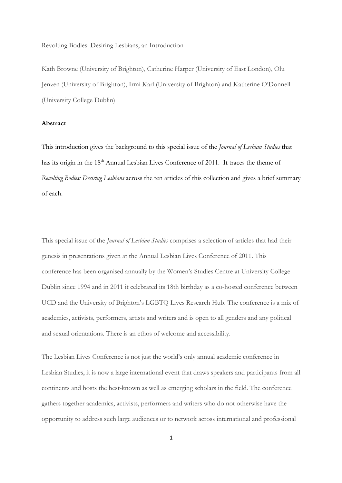Revolting Bodies: Desiring Lesbians, an Introduction

Kath Browne (University of Brighton), Catherine Harper (University of East London), Olu Jenzen (University of Brighton), Irmi Karl (University of Brighton) and Katherine O'Donnell (University College Dublin)

## **Abstract**

This introduction gives the background to this special issue of the *Journal of Lesbian Studies* that has its origin in the 18<sup>th</sup> Annual Lesbian Lives Conference of 2011. It traces the theme of *Revolting Bodies: Desiring Lesbians* across the ten articles of this collection and gives a brief summary of each.

This special issue of the *Journal of Lesbian Studies* comprises a selection of articles that had their genesis in presentations given at the Annual Lesbian Lives Conference of 2011. This conference has been organised annually by the Women's Studies Centre at University College Dublin since 1994 and in 2011 it celebrated its 18th birthday as a co-hosted conference between UCD and the University of Brighton's LGBTQ Lives Research Hub. The conference is a mix of academics, activists, performers, artists and writers and is open to all genders and any political and sexual orientations. There is an ethos of welcome and accessibility.

The Lesbian Lives Conference is not just the world's only annual academic conference in Lesbian Studies, it is now a large international event that draws speakers and participants from all continents and hosts the best-known as well as emerging scholars in the field. The conference gathers together academics, activists, performers and writers who do not otherwise have the opportunity to address such large audiences or to network across international and professional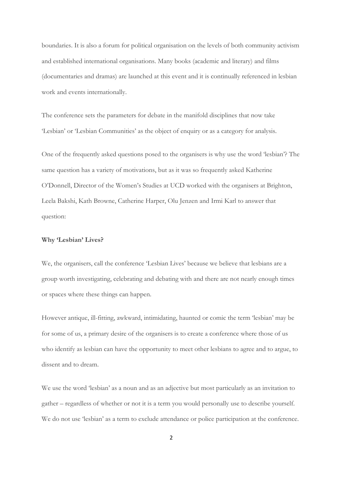boundaries. It is also a forum for political organisation on the levels of both community activism and established international organisations. Many books (academic and literary) and films (documentaries and dramas) are launched at this event and it is continually referenced in lesbian work and events internationally.

The conference sets the parameters for debate in the manifold disciplines that now take 'Lesbian' or 'Lesbian Communities' as the object of enquiry or as a category for analysis.

One of the frequently asked questions posed to the organisers is why use the word 'lesbian'? The same question has a variety of motivations, but as it was so frequently asked Katherine O'Donnell, Director of the Women's Studies at UCD worked with the organisers at Brighton, Leela Bakshi, Kath Browne, Catherine Harper, Olu Jenzen and Irmi Karl to answer that question:

## **Why 'Lesbian' Lives?**

We, the organisers, call the conference 'Lesbian Lives' because we believe that lesbians are a group worth investigating, celebrating and debating with and there are not nearly enough times or spaces where these things can happen.

However antique, ill-fitting, awkward, intimidating, haunted or comic the term 'lesbian' may be for some of us, a primary desire of the organisers is to create a conference where those of us who identify as lesbian can have the opportunity to meet other lesbians to agree and to argue, to dissent and to dream.

We use the word 'lesbian' as a noun and as an adjective but most particularly as an invitation to gather – regardless of whether or not it is a term you would personally use to describe yourself. We do not use 'lesbian' as a term to exclude attendance or police participation at the conference.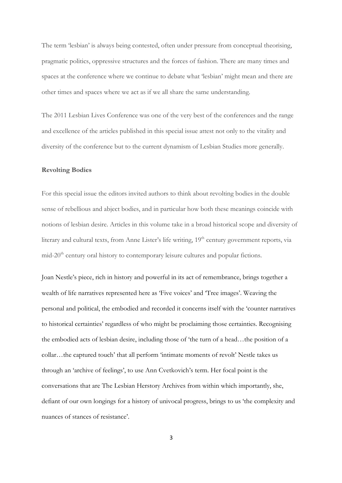The term 'lesbian' is always being contested, often under pressure from conceptual theorising, pragmatic politics, oppressive structures and the forces of fashion. There are many times and spaces at the conference where we continue to debate what 'lesbian' might mean and there are other times and spaces where we act as if we all share the same understanding.

The 2011 Lesbian Lives Conference was one of the very best of the conferences and the range and excellence of the articles published in this special issue attest not only to the vitality and diversity of the conference but to the current dynamism of Lesbian Studies more generally.

## **Revolting Bodies**

For this special issue the editors invited authors to think about revolting bodies in the double sense of rebellious and abject bodies, and in particular how both these meanings coincide with notions of lesbian desire. Articles in this volume take in a broad historical scope and diversity of literary and cultural texts, from Anne Lister's life writing, 19<sup>th</sup> century government reports, via mid-20<sup>th</sup> century oral history to contemporary leisure cultures and popular fictions.

Joan Nestle's piece, rich in history and powerful in its act of remembrance, brings together a wealth of life narratives represented here as 'Five voices' and 'Tree images'. Weaving the personal and political, the embodied and recorded it concerns itself with the 'counter narratives to historical certainties' regardless of who might be proclaiming those certainties. Recognising the embodied acts of lesbian desire, including those of 'the turn of a head…the position of a collar…the captured touch' that all perform 'intimate moments of revolt' Nestle takes us through an 'archive of feelings', to use Ann Cvetkovich's term. Her focal point is the conversations that are The Lesbian Herstory Archives from within which importantly, she, defiant of our own longings for a history of univocal progress, brings to us 'the complexity and nuances of stances of resistance'.

3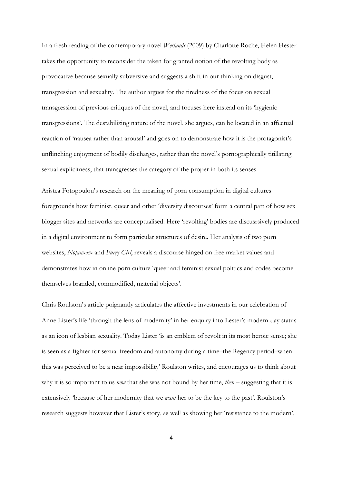In a fresh reading of the contemporary novel *Wetlands* (2009) by Charlotte Roche, Helen Hester takes the opportunity to reconsider the taken for granted notion of the revolting body as provocative because sexually subversive and suggests a shift in our thinking on disgust, transgression and sexuality. The author argues for the tiredness of the focus on sexual transgression of previous critiques of the novel, and focuses here instead on its 'hygienic transgressions'. The destabilizing nature of the novel, she argues, can be located in an affectual reaction of 'nausea rather than arousal' and goes on to demonstrate how it is the protagonist's unflinching enjoyment of bodily discharges, rather than the novel's pornographically titillating sexual explicitness, that transgresses the category of the proper in both its senses.

Aristea Fotopoulou's research on the meaning of porn consumption in digital cultures foregrounds how feminist, queer and other 'diversity discourses' form a central part of how sex blogger sites and networks are conceptualised. Here 'revolting' bodies are discusrsively produced in a digital environment to form particular structures of desire. Her analysis of two porn websites, *Nofauxxx* and *Furry Girl*, reveals a discourse hinged on free market values and demonstrates how in online porn culture 'queer and feminist sexual politics and codes become themselves branded, commodified, material objects'.

Chris Roulston's article poignantly articulates the affective investments in our celebration of Anne Lister's life 'through the lens of modernity' in her enquiry into Lester's modern-day status as an icon of lesbian sexuality. Today Lister 'is an emblem of revolt in its most heroic sense; she is seen as a fighter for sexual freedom and autonomy during a time–the Regency period–when this was perceived to be a near impossibility' Roulston writes, and encourages us to think about why it is so important to us *now* that she was not bound by her time, *then* – suggesting that it is extensively 'because of her modernity that we *want* her to be the key to the past'. Roulston's research suggests however that Lister's story, as well as showing her 'resistance to the modern',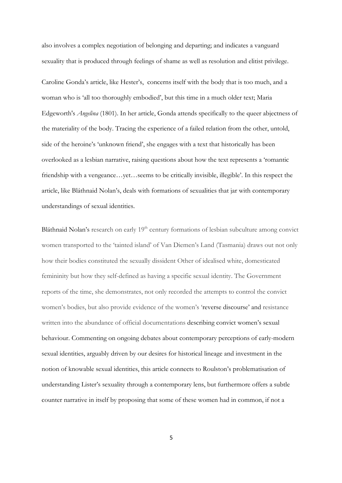also involves a complex negotiation of belonging and departing; and indicates a vanguard sexuality that is produced through feelings of shame as well as resolution and elitist privilege.

Caroline Gonda's article, like Hester's, concerns itself with the body that is too much, and a woman who is 'all too thoroughly embodied', but this time in a much older text; Maria Edgeworth's *Angelina* (1801). In her article, Gonda attends specifically to the queer abjectness of the materiality of the body. Tracing the experience of a failed relation from the other, untold, side of the heroine's 'unknown friend', she engages with a text that historically has been overlooked as a lesbian narrative, raising questions about how the text represents a 'romantic friendship with a vengeance…yet…seems to be critically invisible, illegible'. In this respect the article, like Bláthnaid Nolan's, deals with formations of sexualities that jar with contemporary understandings of sexual identities.

Bláthnaid Nolan's research on early  $19<sup>th</sup>$  century formations of lesbian subculture among convict women transported to the 'tainted island' of Van Diemen's Land (Tasmania) draws out not only how their bodies constituted the sexually dissident Other of idealised white, domesticated femininity but how they self-defined as having a specific sexual identity. The Government reports of the time, she demonstrates, not only recorded the attempts to control the convict women's bodies, but also provide evidence of the women's 'reverse discourse' and resistance written into the abundance of official documentations describing convict women's sexual behaviour. Commenting on ongoing debates about contemporary perceptions of early-modern sexual identities, arguably driven by our desires for historical lineage and investment in the notion of knowable sexual identities, this article connects to Roulston's problematisation of understanding Lister's sexuality through a contemporary lens, but furthermore offers a subtle counter narrative in itself by proposing that some of these women had in common, if not a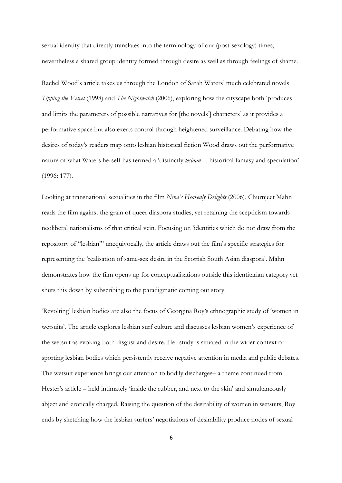sexual identity that directly translates into the terminology of our (post-sexology) times, nevertheless a shared group identity formed through desire as well as through feelings of shame.

Rachel Wood's article takes us through the London of Sarah Waters' much celebrated novels *Tipping the Velvet* (1998) and *The Nightwatch* (2006), exploring how the cityscape both 'produces and limits the parameters of possible narratives for [the novels'] characters' as it provides a performative space but also exerts control through heightened surveillance. Debating how the desires of today's readers map onto lesbian historical fiction Wood draws out the performative nature of what Waters herself has termed a 'distinctly *lesbian*… historical fantasy and speculation' (1996: 177).

Looking at transnational sexualities in the film *Nina's Heavenly Delights* (2006), Churnjeet Mahn reads the film against the grain of queer diaspora studies, yet retaining the scepticism towards neoliberal nationalisms of that critical vein. Focusing on 'identities which do not draw from the repository of "lesbian"' unequivocally, the article draws out the film's specific strategies for representing the 'realisation of same-sex desire in the Scottish South Asian diaspora'. Mahn demonstrates how the film opens up for conceptualisations outside this identitarian category yet shuts this down by subscribing to the paradigmatic coming out story.

'Revolting' lesbian bodies are also the focus of Georgina Roy's ethnographic study of 'women in wetsuits'. The article explores lesbian surf culture and discusses lesbian women's experience of the wetsuit as evoking both disgust and desire. Her study is situated in the wider context of sporting lesbian bodies which persistently receive negative attention in media and public debates. The wetsuit experience brings our attention to bodily discharges– a theme continued from Hester's article – held intimately 'inside the rubber, and next to the skin' and simultaneously abject and erotically charged. Raising the question of the desirability of women in wetsuits, Roy ends by sketching how the lesbian surfers' negotiations of desirability produce nodes of sexual